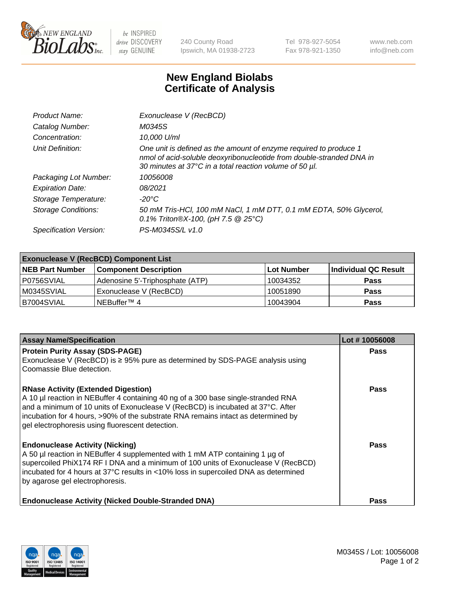

 $be$  INSPIRED drive DISCOVERY stay GENUINE

240 County Road Ipswich, MA 01938-2723 Tel 978-927-5054 Fax 978-921-1350 www.neb.com info@neb.com

## **New England Biolabs Certificate of Analysis**

| Product Name:              | Exonuclease V (RecBCD)                                                                                                                                                                               |
|----------------------------|------------------------------------------------------------------------------------------------------------------------------------------------------------------------------------------------------|
| Catalog Number:            | M0345S                                                                                                                                                                                               |
| Concentration:             | 10,000 U/ml                                                                                                                                                                                          |
| Unit Definition:           | One unit is defined as the amount of enzyme required to produce 1<br>nmol of acid-soluble deoxyribonucleotide from double-stranded DNA in<br>30 minutes at 37°C in a total reaction volume of 50 µl. |
| Packaging Lot Number:      | 10056008                                                                                                                                                                                             |
| <b>Expiration Date:</b>    | 08/2021                                                                                                                                                                                              |
| Storage Temperature:       | -20°C                                                                                                                                                                                                |
| <b>Storage Conditions:</b> | 50 mM Tris-HCl, 100 mM NaCl, 1 mM DTT, 0.1 mM EDTA, 50% Glycerol,<br>0.1% Triton®X-100, (pH 7.5 $@25°C$ )                                                                                            |
| Specification Version:     | PS-M0345S/L v1.0                                                                                                                                                                                     |

| <b>Exonuclease V (RecBCD) Component List</b> |                                 |                   |                      |  |
|----------------------------------------------|---------------------------------|-------------------|----------------------|--|
| <b>NEB Part Number</b>                       | <b>Component Description</b>    | <b>Lot Number</b> | Individual QC Result |  |
| I P0756SVIAL                                 | Adenosine 5'-Triphosphate (ATP) | 10034352          | <b>Pass</b>          |  |
| M0345SVIAL                                   | Exonuclease V (RecBCD)          | 10051890          | <b>Pass</b>          |  |
| B7004SVIAL                                   | INEBuffer™ 4                    | 10043904          | <b>Pass</b>          |  |

| <b>Assay Name/Specification</b>                                                                                                                                                                                                                                                                                                       | Lot #10056008 |
|---------------------------------------------------------------------------------------------------------------------------------------------------------------------------------------------------------------------------------------------------------------------------------------------------------------------------------------|---------------|
| <b>Protein Purity Assay (SDS-PAGE)</b><br>Exonuclease V (RecBCD) is $\geq 95\%$ pure as determined by SDS-PAGE analysis using                                                                                                                                                                                                         | <b>Pass</b>   |
| Coomassie Blue detection.<br><b>RNase Activity (Extended Digestion)</b>                                                                                                                                                                                                                                                               | Pass          |
| A 10 µl reaction in NEBuffer 4 containing 40 ng of a 300 base single-stranded RNA<br>and a minimum of 10 units of Exonuclease V (RecBCD) is incubated at 37°C. After<br>incubation for 4 hours, >90% of the substrate RNA remains intact as determined by<br>gel electrophoresis using fluorescent detection.                         |               |
| <b>Endonuclease Activity (Nicking)</b><br>A 50 µl reaction in NEBuffer 4 supplemented with 1 mM ATP containing 1 µg of<br>supercoiled PhiX174 RF I DNA and a minimum of 100 units of Exonuclease V (RecBCD)<br>incubated for 4 hours at 37°C results in <10% loss in supercoiled DNA as determined<br>by agarose gel electrophoresis. | Pass          |
| <b>Endonuclease Activity (Nicked Double-Stranded DNA)</b>                                                                                                                                                                                                                                                                             | Pass          |